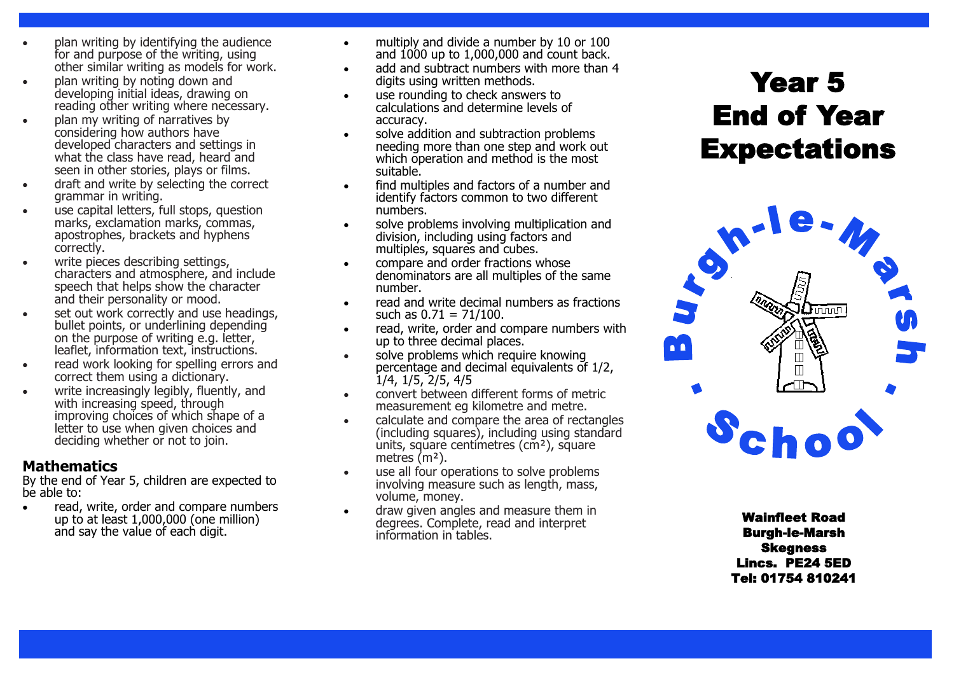- plan writing by identifying the audience for and purpose of the writing, using other similar writing as models for work.
- plan writing by noting down and developing initial ideas, drawing on reading other writing where necessary.
- plan my writing of narratives by considering how authors have developed characters and settings in what the class have read, heard and seen in other stories, plays or films.
- draft and write by selecting the correct grammar in writing.
- use capital letters, full stops, question marks, exclamation marks, commas, apostrophes, brackets and hyphens correctly.
- write pieces describing settings, characters and atmosphere, and include speech that helps show the character and their personality or mood.
- set out work correctly and use headings, bullet points, or underlining depending on the purpose of writing e.g. letter, leaflet, information text, instructions.
- read work looking for spelling errors and correct them using a dictionary.
- write increasingly legibly, fluently, and with increasing speed, through improving choices of which shape of a letter to use when given choices and deciding whether or not to join.

## **Mathematics**

By the end of Year 5, children are expected to be able to:

 read, write, order and compare numbers up to at least 1,000,000 (one million) and say the value of each digit.

- multiply and divide a number by 10 or 100 and 1000 up to 1,000,000 and count back.
- add and subtract numbers with more than 4 digits using written methods.
- use rounding to check answers to calculations and determine levels of accuracy.
- solve addition and subtraction problems needing more than one step and work out which operation and method is the most suitable.
- **•** find multiples and factors of a number and identify factors common to two different numbers.
- solve problems involving multiplication and division, including using factors and multiples, squares and cubes.
- compare and order fractions whose denominators are all multiples of the same number.
- read and write decimal numbers as fractions such as  $0.71 = 71/100$ .
- read, write, order and compare numbers with up to three decimal places.
- solve problems which require knowing percentage and decimal equivalents of 1/2, 1/4, 1/5, 2/5, 4/5
- convert between different forms of metric measurement eg kilometre and metre.
- calculate and compare the area of rectangles (including squares), including using standard units, square centimetres (cm²), square metres (m<sup>2</sup>).
- use all four operations to solve problems involving measure such as length, mass, volume, money.
- draw given angles and measure them in degrees. Complete, read and interpret information in tables.

# Year 5 End of Year **Expectations**



Wainfleet Road Burgh-le-Marsh Skegness Lincs. PE24 5ED Tel: 01754 810241